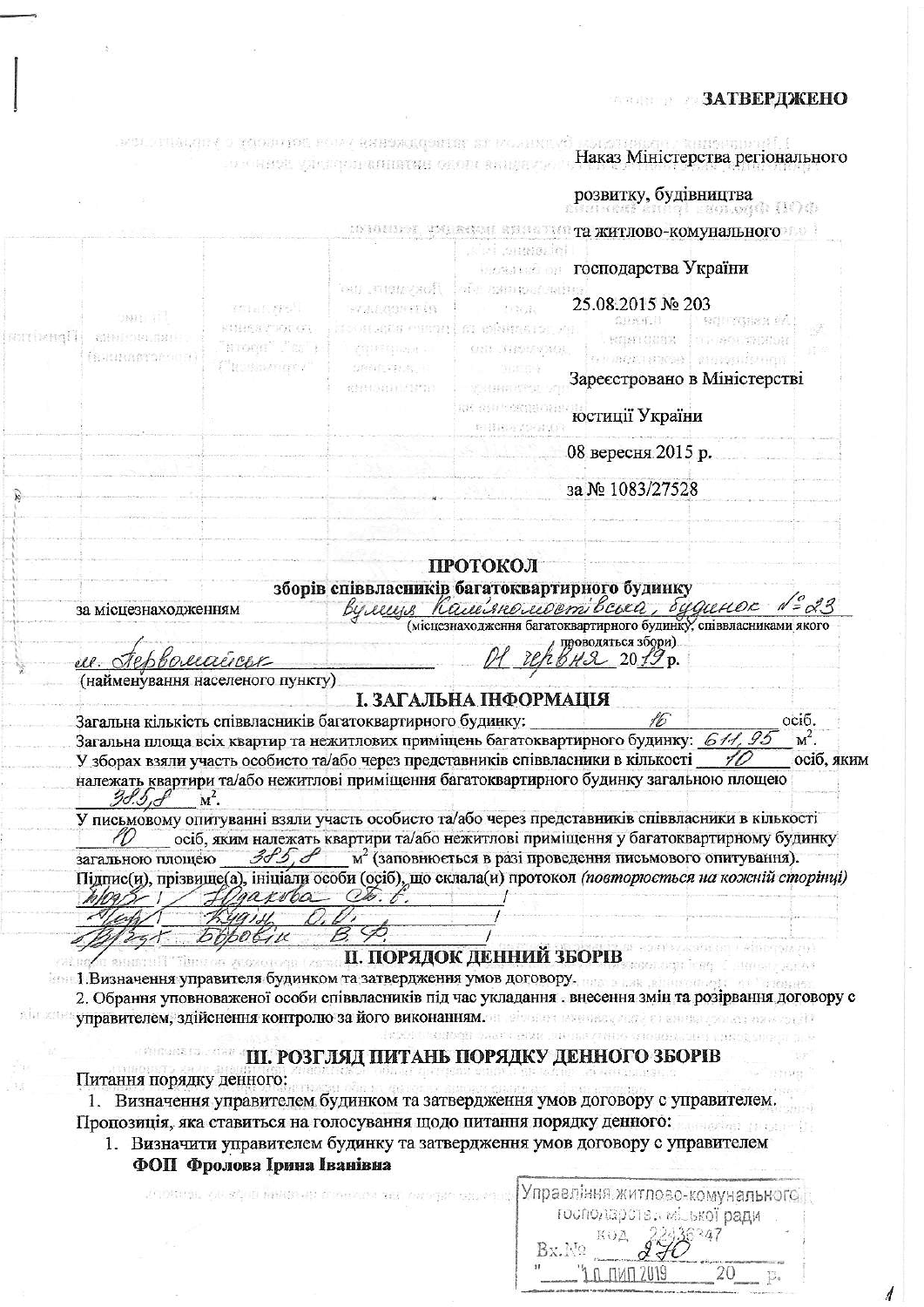## **ЗАТВЕРДЖЕНО**

 $\overline{A}$ 

 $\textbf{Maxa Minterperma perion, and a single sample.}$ 

 $\frac{1}{\sqrt{2}}$ 

ļ

 $\frac{1}{2}$ 

 $\overline{\phantom{a}}$ 

|             |                                 |                                                                                                                                                                                           |                               |                                            | <b>розвитку, будівництва</b><br>Виновий винорі заоздоро (104)          |                            |                           |
|-------------|---------------------------------|-------------------------------------------------------------------------------------------------------------------------------------------------------------------------------------------|-------------------------------|--------------------------------------------|------------------------------------------------------------------------|----------------------------|---------------------------|
|             |                                 |                                                                                                                                                                                           |                               |                                            | <b>COMMUTES FALECTION ENGINEERY TRACTIOBO-KOMYHAJISHOFO</b> 2000       |                            |                           |
|             |                                 |                                                                                                                                                                                           |                               | isi saaano, isi k                          | <b>Пользовать господарства України</b>                                 |                            |                           |
|             |                                 | Polar And                                                                                                                                                                                 | our strewysoft<br>FALLOSPHEIR | at in Robert States<br>生き点                 | 25.08.2015 № 203                                                       |                            |                           |
| [RATTERBAT] | $3801 \text{ d}$<br>SHelmen San | FILEST FALGI                                                                                                                                                                              | 计二进行运动程 经自信贷款表                | m césarans /u                              | 20.84.1                                                                | ROUTSBER 24<br>TE SOUTHERN |                           |
|             | (STUNNITOMOR)                   | $\Gamma_{\rm N} \to \Gamma_{\rm N} \Gamma_{\rm N} \to \Gamma_{\rm N} \Gamma_{\rm N}$                                                                                                      | giptering an                  | ONE NEWWALL                                | HANT GUBA                                                              | 6 hacia saras, saugadonga  |                           |
|             |                                 | <sup>pt</sup> gustinavery r                                                                                                                                                               | 989年程度,中<br>化轻压力 经产品          | 300年4月<br>图 相称者的地位                         | Зареєстровано в Міністерстві                                           |                            |                           |
|             |                                 |                                                                                                                                                                                           |                               | ar sur esquaren<br>电导路在关键器(D)              | юстиції України                                                        |                            |                           |
|             |                                 |                                                                                                                                                                                           |                               |                                            | 08 вересня 2015 р.                                                     |                            |                           |
|             |                                 |                                                                                                                                                                                           |                               |                                            | за № 1083/27528                                                        |                            |                           |
|             |                                 |                                                                                                                                                                                           |                               | ПРОТОКОЛ                                   |                                                                        |                            |                           |
|             |                                 |                                                                                                                                                                                           |                               |                                            | зборів співвласників багатоквартирного будинку                         |                            |                           |
|             | за місцезнаходженням            |                                                                                                                                                                                           |                               |                                            | Вулеще Калевнолебет всега, будинок 1= 23                               |                            | $N = 23$                  |
|             |                                 |                                                                                                                                                                                           |                               |                                            | проводяться збори)                                                     |                            |                           |
|             | u. Tephoruairer                 |                                                                                                                                                                                           |                               |                                            | BH2 2019 p.                                                            |                            |                           |
|             |                                 |                                                                                                                                                                                           |                               |                                            |                                                                        |                            |                           |
|             |                                 | (найменування населеного пункту)                                                                                                                                                          |                               |                                            |                                                                        |                            |                           |
|             |                                 | Загальна кількість співвласників багатоквартирного будинку:<br>Загальна площа всіх квартир та нежитлових приміщень багатоквартирного будинку: 611, 95                                     |                               | І. ЗАГАЛЬНА ІНФОРМАЦІЯ                     | 16                                                                     |                            | осіб.<br>$\mathbf{M}^2$ . |
|             | 38.3.                           | У зборах взяли участь особисто та/або через представників співвласники в кількості<br>належать квартири та/або нежитлові приміщення багатоквартирного будинку загальною площею<br>$M^2$ . |                               |                                            |                                                                        |                            |                           |
|             |                                 | У письмовому опитуванні взяли участь особисто та/або через представників співвласники в кількості<br>осіб, яким належать квартири та/або нежитлові приміщення у багатоквартирному будинку |                               |                                            |                                                                        |                            |                           |
|             | загальною площею                | $3f_2$ , $f_1$                                                                                                                                                                            |                               |                                            | м <sup>2</sup> (заповнюється в разі проведення письмового опитування). |                            |                           |
|             |                                 | Підпис(и), прізвище(а), ініціали особи (осіб), що склала(и) протокол (повторюється на кожній сторінці)<br>gaxoba                                                                          |                               |                                            |                                                                        |                            |                           |
|             |                                 |                                                                                                                                                                                           |                               |                                            |                                                                        |                            |                           |
|             |                                 | <i><b>DODOGIK</b></i>                                                                                                                                                                     |                               |                                            |                                                                        |                            |                           |
|             |                                 | <b>U BRIGHT THERE OF RECONSIGN (2878), II. ПОРЯДОК ДЕННИЙ ЗБОРІВ</b>                                                                                                                      |                               |                                            |                                                                        | <b>RYICHT ATAF</b>         |                           |
|             |                                 | ими 1. Визначення управителя будинком та затвердження умов договору. В несли половиния                                                                                                    |                               |                                            |                                                                        | <b>SCHOMAGE</b>            | осіб, яким                |
|             |                                 | 2. Обрання уповноваженої особи співвласників під час укладання . внесення змін та розірвання договору с                                                                                   |                               |                                            |                                                                        |                            |                           |
|             |                                 | лы констравителем, здійснення контролю за його виконанням. В обществення стало в станда совательно дерев                                                                                  |                               |                                            | NOCE CONSTANT THAT A GRAN DIRECTORY OF THE CONCRETE LOCAL DIRECT       |                            |                           |
|             |                                 |                                                                                                                                                                                           |                               |                                            | Ш. РОЗГЛЯД ПИТАНЬ ПОРЯДКУ ДЕННОГО ЗБОРІВ                               |                            |                           |
|             | Питання порядку денного:        |                                                                                                                                                                                           |                               |                                            |                                                                        |                            |                           |
|             |                                 | 1. Визначення управителем будинком та затвердження умов договору с управителем.                                                                                                           |                               | i genomen sundert dannt an minuten statter |                                                                        |                            |                           |
|             |                                 | Пропозиція, яка ставиться на голосування щодо питання порядку денного:                                                                                                                    |                               |                                            |                                                                        | นเคยส์ขว (คยมคะโก          |                           |
|             |                                 | 1. Визначити управителем будинку та затвердження умов договору с управителем<br>ФОП Фролова Ірина Іванівна                                                                                |                               |                                            |                                                                        |                            |                           |
|             |                                 | JATORINGE, ON SALID RENSOLAR CONFIDENCE AND GENERAL CONVERTIB                                                                                                                             |                               |                                            | Управління житлово-комунального                                        |                            |                           |
|             |                                 |                                                                                                                                                                                           |                               |                                            | господарств, міської ради                                              |                            |                           |
|             |                                 |                                                                                                                                                                                           |                               |                                            |                                                                        |                            |                           |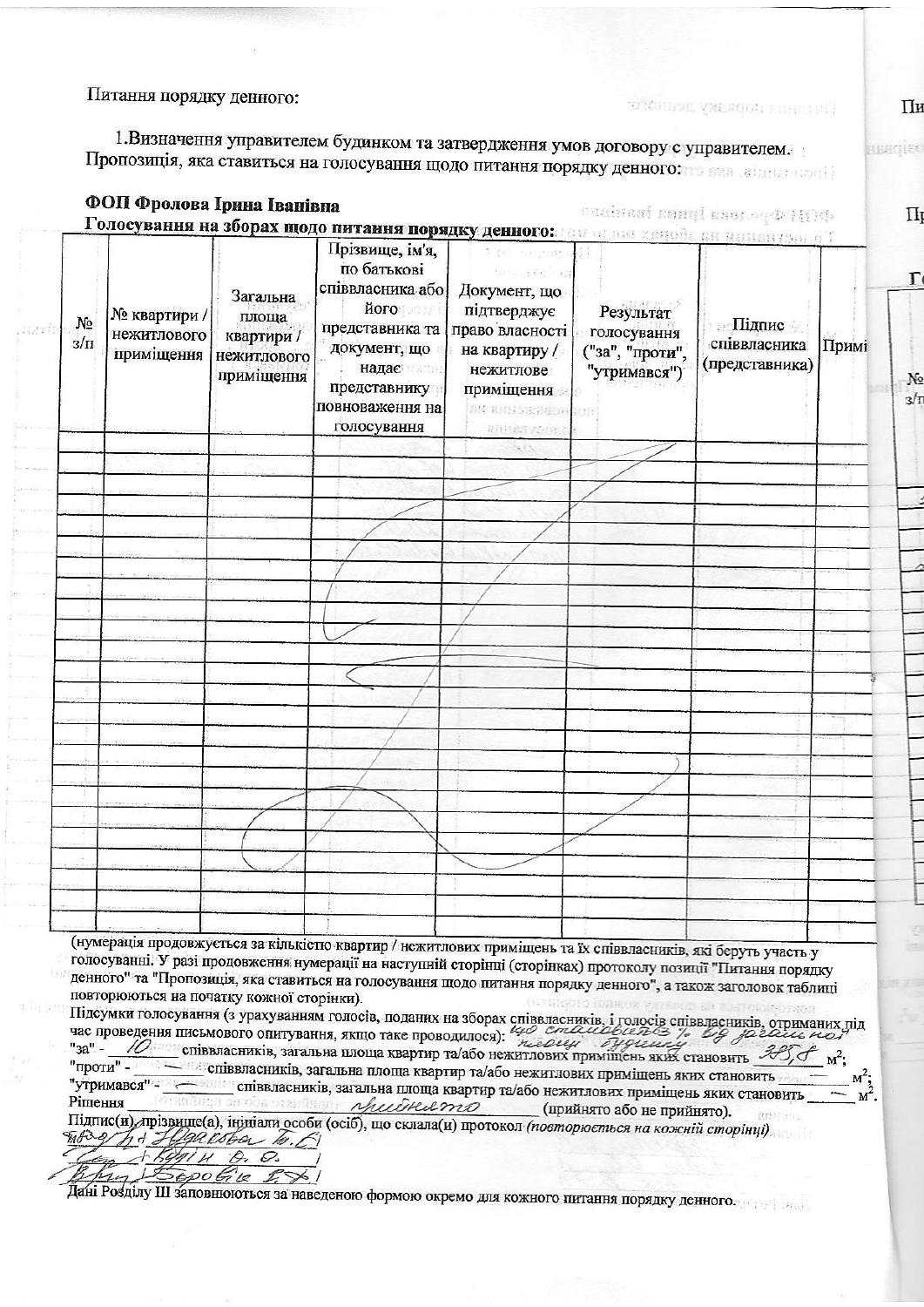Питання порядку денного:

 $\frac{1}{2}$ 

 $\frac{1}{2}$  ,  $\frac{1}{2}$  ,  $\frac{1}{2}$ 

1. Визначення управителем будинком та затвердження умов договору с управителем. Пропозиція, яка ставиться на голосування щодо питання порядку денного:

| повноваження на<br>голосування | SK RHHSKØHOH TOR<br>RIUSS (SOL)           |                                                                       |                                                                                                                                                                                                                                                                                                                                                                                                                                                                                                                                                                                                                                                                               |
|--------------------------------|-------------------------------------------|-----------------------------------------------------------------------|-------------------------------------------------------------------------------------------------------------------------------------------------------------------------------------------------------------------------------------------------------------------------------------------------------------------------------------------------------------------------------------------------------------------------------------------------------------------------------------------------------------------------------------------------------------------------------------------------------------------------------------------------------------------------------|
|                                |                                           |                                                                       |                                                                                                                                                                                                                                                                                                                                                                                                                                                                                                                                                                                                                                                                               |
|                                |                                           |                                                                       |                                                                                                                                                                                                                                                                                                                                                                                                                                                                                                                                                                                                                                                                               |
|                                |                                           |                                                                       |                                                                                                                                                                                                                                                                                                                                                                                                                                                                                                                                                                                                                                                                               |
|                                |                                           |                                                                       |                                                                                                                                                                                                                                                                                                                                                                                                                                                                                                                                                                                                                                                                               |
|                                |                                           |                                                                       |                                                                                                                                                                                                                                                                                                                                                                                                                                                                                                                                                                                                                                                                               |
|                                |                                           |                                                                       |                                                                                                                                                                                                                                                                                                                                                                                                                                                                                                                                                                                                                                                                               |
|                                |                                           |                                                                       |                                                                                                                                                                                                                                                                                                                                                                                                                                                                                                                                                                                                                                                                               |
|                                |                                           |                                                                       |                                                                                                                                                                                                                                                                                                                                                                                                                                                                                                                                                                                                                                                                               |
|                                |                                           |                                                                       |                                                                                                                                                                                                                                                                                                                                                                                                                                                                                                                                                                                                                                                                               |
|                                |                                           |                                                                       |                                                                                                                                                                                                                                                                                                                                                                                                                                                                                                                                                                                                                                                                               |
|                                |                                           |                                                                       |                                                                                                                                                                                                                                                                                                                                                                                                                                                                                                                                                                                                                                                                               |
|                                |                                           |                                                                       |                                                                                                                                                                                                                                                                                                                                                                                                                                                                                                                                                                                                                                                                               |
|                                |                                           |                                                                       |                                                                                                                                                                                                                                                                                                                                                                                                                                                                                                                                                                                                                                                                               |
|                                |                                           |                                                                       |                                                                                                                                                                                                                                                                                                                                                                                                                                                                                                                                                                                                                                                                               |
|                                |                                           |                                                                       |                                                                                                                                                                                                                                                                                                                                                                                                                                                                                                                                                                                                                                                                               |
|                                |                                           |                                                                       |                                                                                                                                                                                                                                                                                                                                                                                                                                                                                                                                                                                                                                                                               |
|                                |                                           |                                                                       |                                                                                                                                                                                                                                                                                                                                                                                                                                                                                                                                                                                                                                                                               |
|                                |                                           |                                                                       |                                                                                                                                                                                                                                                                                                                                                                                                                                                                                                                                                                                                                                                                               |
|                                |                                           |                                                                       |                                                                                                                                                                                                                                                                                                                                                                                                                                                                                                                                                                                                                                                                               |
|                                |                                           |                                                                       |                                                                                                                                                                                                                                                                                                                                                                                                                                                                                                                                                                                                                                                                               |
|                                |                                           |                                                                       |                                                                                                                                                                                                                                                                                                                                                                                                                                                                                                                                                                                                                                                                               |
|                                |                                           |                                                                       |                                                                                                                                                                                                                                                                                                                                                                                                                                                                                                                                                                                                                                                                               |
|                                |                                           |                                                                       |                                                                                                                                                                                                                                                                                                                                                                                                                                                                                                                                                                                                                                                                               |
|                                |                                           |                                                                       |                                                                                                                                                                                                                                                                                                                                                                                                                                                                                                                                                                                                                                                                               |
|                                |                                           |                                                                       |                                                                                                                                                                                                                                                                                                                                                                                                                                                                                                                                                                                                                                                                               |
|                                |                                           |                                                                       |                                                                                                                                                                                                                                                                                                                                                                                                                                                                                                                                                                                                                                                                               |
|                                | повторюються на початку кожної сторінки). | час проведення письмового опитування, якщо таке проводилося): 40 стал | (нумерація продовжується за кількістю квартир / нежитлових приміщень та їх співвласників, які беруть участь у<br>голосуванні. У разі продовження нумерації на наступній сторінці (сторінках) протоколу позиції "Питання порядку<br>денного" та "Пропозиція, яка ставиться на голосування щодо питання порядку денного", а також заголовок таблиці<br>Підсумки голосування (з урахуванням голосів, поданих на зборах співвласників, і голосів співвласників, отриманих під<br>3% big praise not<br>ня письмового опитування, якщо таке проводилося). <i>полощи буденной становить</i> 38,0<br>співвласників, загальна площа квартир та/або нежитлових приміщень яких становить |

Пи

Hangieo

тотоннод уждафон канастан